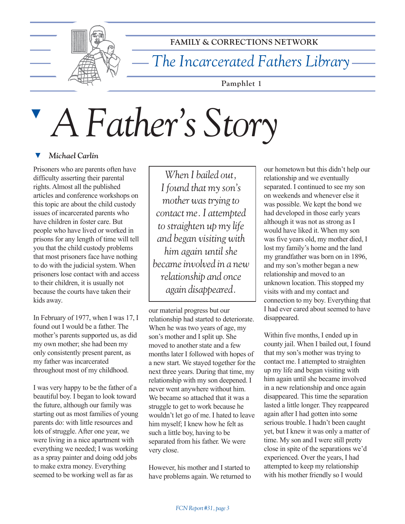

**FAMILY & CORRECTIONS NETWORK**

*The Incarcerated Fathers Library*

**Pamphlet 1**

# ▼ *A Father's Story*

#### **マ**  *Michael Carlin*

Prisoners who are parents often have difficulty asserting their parental rights. Almost all the published articles and conference workshops on this topic are about the child custody issues of incarcerated parents who have children in foster care. But people who have lived or worked in prisons for any length of time will tell you that the child custody problems that most prisoners face have nothing to do with the judicial system. When prisoners lose contact with and access to their children, it is usually not because the courts have taken their kids away.

In February of 1977, when I was 17, I found out I would be a father. The mother's parents supported us, as did my own mother; she had been my only consistently present parent, as my father was incarcerated throughout most of my childhood.

I was very happy to be the father of a beautiful boy. I began to look toward the future, although our family was starting out as most families of young parents do: with little resources and lots of struggle. After one year, we were living in a nice apartment with everything we needed; I was working as a spray painter and doing odd jobs to make extra money. Everything seemed to be working well as far as

*When I bailed out, I found that my son's mother was trying to contact me. I attempted to straighten up my life and began visiting with him again until she became involved in a new relationship and once again disappeared.*

our material progress but our relationship had started to deteriorate. When he was two years of age, my son's mother and I split up. She moved to another state and a few months later I followed with hopes of a new start. We stayed together for the next three years. During that time, my relationship with my son deepened. I never went anywhere without him. We became so attached that it was a struggle to get to work because he wouldn't let go of me. I hated to leave him myself; I knew how he felt as such a little boy, having to be separated from his father. We were very close.

However, his mother and I started to have problems again. We returned to

our hometown but this didn't help our relationship and we eventually separated. I continued to see my son on weekends and whenever else it was possible. We kept the bond we had developed in those early years although it was not as strong as I would have liked it. When my son was five years old, my mother died, I lost my family's home and the land my grandfather was born on in 1896, and my son's mother began a new relationship and moved to an unknown location. This stopped my visits with and my contact and connection to my boy. Everything that I had ever cared about seemed to have disappeared.

Within five months, I ended up in county jail. When I bailed out, I found that my son's mother was trying to contact me. I attempted to straighten up my life and began visiting with him again until she became involved in a new relationship and once again disappeared. This time the separation lasted a little longer. They reappeared again after I had gotten into some serious trouble. I hadn't been caught yet, but I knew it was only a matter of time. My son and I were still pretty close in spite of the separations we'd experienced. Over the years, I had attempted to keep my relationship with his mother friendly so I would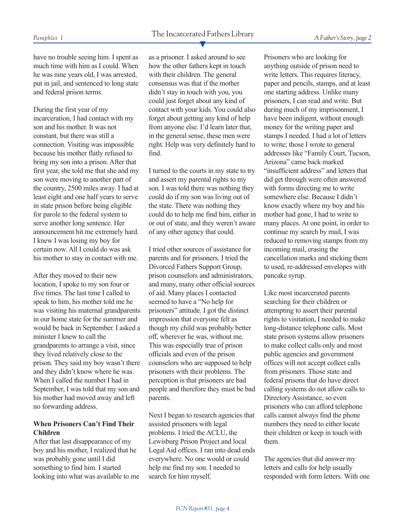have no trouble seeing him. I spent as much time with him as I could. When he was nine years old, I was arrested, put in jail, and sentenced to long state and federal prison terms.

During the first year of my incarceration, I had contact with my son and his mother. It was not constant, but there was still a connection. Visiting was impossible because his mother flatly refused to bring my son into a prison. After that first year, she told me that she and my son were moving to another part of the country, 2500 miles away. I had at least eight and one half years to serve in state prison before being eligible for parole to the federal system to serve another long sentence. Her announcement hit me extremely hard. I knew I was losing my boy for certain now. All I could do was ask his mother to stay in contact with me.

After they moved to their new location, I spoke to my son four or five times. The last time I called to speak to him, his mother told me he was visiting his maternal grandparents in our home state for the summer and would be back in September. I asked a minister I knew to call the grandparents to arrange a visit, since they lived relatively close to the prison. They said my boy wasn't there and they didn't know where he was. When I called the number I had in September, I was told that my son and his mother had moved away and left no forwarding address.

#### **When Prisoners Can't Find Their Children**

After that last disappearance of my boy and his mother, I realized that he was probably gone until I did something to find him. I started looking into what was available to me as a prisoner. I asked around to see how the other fathers kept in touch with their children. The general consensus was that if the mother didn't stay in touch with you, you could just forget about any kind of contact with your kids. You could also forget about getting any kind of help from anyone else. I'd learn later that, in the general sense, these men were right. Help was very definitely hard to find.

I turned to the courts in my state to try and assert my parental rights to my son. I was told there was nothing they could do if my son was living out of the state. There was nothing they could do to help me find him, either in or out of state, and they weren't aware of any other agency that could.

I tried other sources of assistance for parents and for prisoners. I tried the Divorced Fathers Support Group, prison counselors and administrators, and many, many other official sources of aid. Many places I contacted seemed to have a "No help for prisoners" attitude. I got the distinct impression that everyone felt as though my child was probably better off, wherever he was, without me. This was especially true of prison officials and even of the prison counselors who are supposed to help prisoners with their problems. The perception is that prisoners are bad people and therefore they must be bad parents.

Next I began to research agencies that assisted prisoners with legal problems. I tried the ACLU, the Lewisburg Prison Project and local Legal Aid offices. I ran into dead ends everywhere. No one would or could help me find my son. I needed to search for him myself.

Prisoners who are looking for anything outside of prison need to write letters. This requires literacy, paper and pencils, stamps, and at least one starting address. Unlike many prisoners, I can read and write. But during much of my imprisonment, I have been indigent, without enough money for the writing paper and stamps I needed. I had a lot of letters to write; those I wrote to general addresses like "Family Court, Tucson, Arizona" came back marked "insufficient address" and letters that did get through were often answered with forms directing me to write somewhere else. Because I didn't know exactly where my boy and his mother had gone, I had to write to many places. At one point, in order to continue my search by mail, I was reduced to removing stamps from my incoming mail, erasing the cancellation marks and sticking them to used, re-addressed envelopes with pancake syrup.

Like most incarcerated parents searching for their children or attempting to assert their parental rights to visitation, I needed to make long-distance telephone calls. Most state prison systems allow prisoners to make collect calls only and most public agencies and government offices will not accept collect calls from prisoners. Those state and federal prisons that do have direct calling systems do not allow calls to Directory Assistance, so even prisoners who can afford telephone calls cannot always find the phone numbers they need to either locate their children or keep in touch with them.

The agencies that did answer my letters and calls for help usually responded with form letters. With one